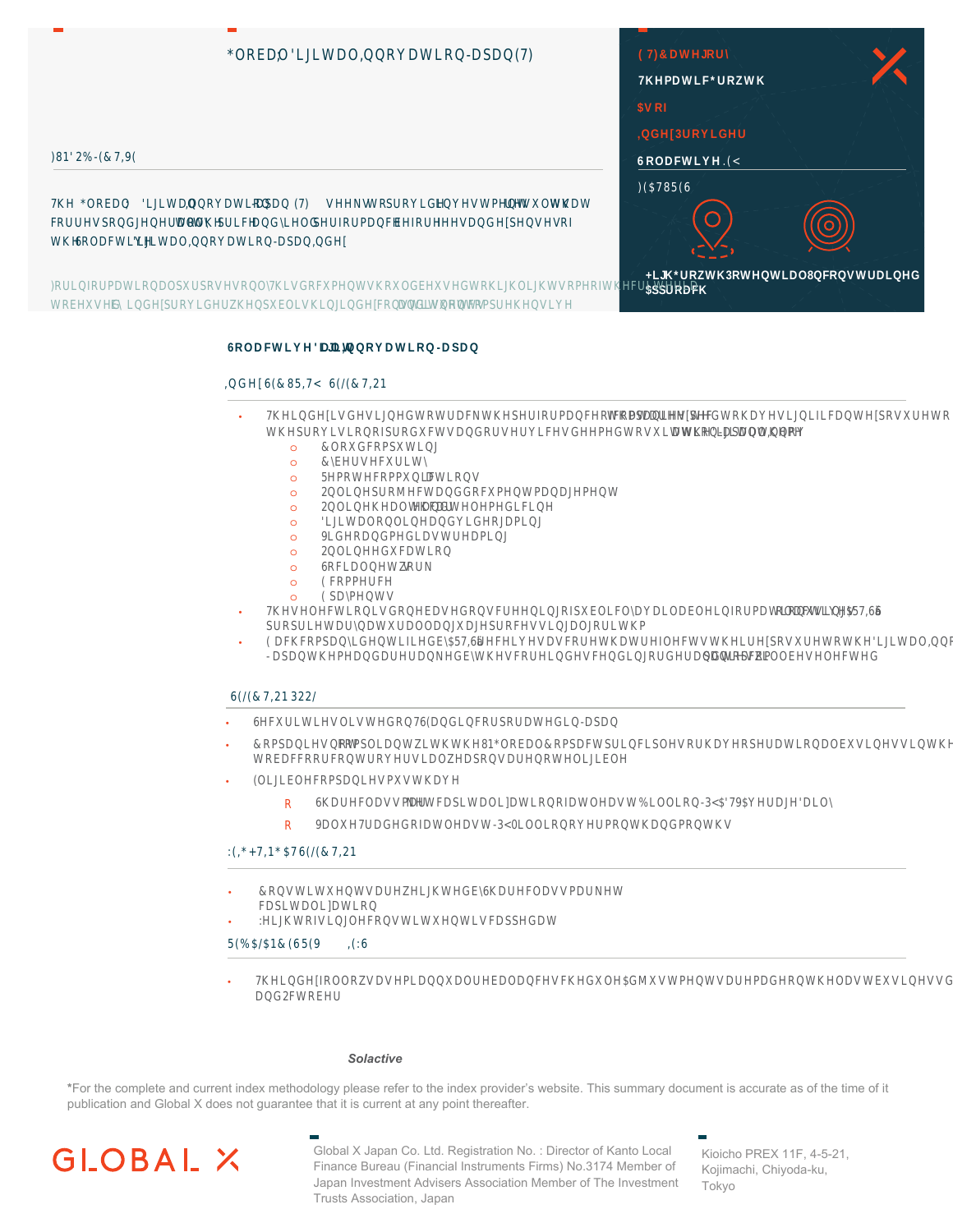# \*OEDO | LULWDO, DWLDSD(7)

# )12%(&7,9(

70 \*OEDO | LJLWDO, DWLI  $DSD[]$  (7) VNV W[ SU[G[ **LMWPM UVXOWVWDW** W W SULF DG UOG SUIDPDE  $EID<sub>1</sub>$ IÑ DG **SMV**  $\mathbb{I}$ FUUNSGJUDOOL W GODFWL ULWDO, DWLDSD, G

)ULIUPDWLDOSXUSWOZINGEXPWVXOGEXVGWLUOLJWVPIWEULWULD WEXVG EN LGSULGUZSKEOLVLJLGFMWLWXMV DGI VWERSUMI I

# $(7)$ &DWUDff 7PDWLF\*UZWD  $SVI$ **GBUDGUff** 6 ODFWLD(D  $)($75(6)$ **LU\*UZWBWWLDOBWWUDLG \$SSUDFIT**

# 60DFWLIULW DO, DWLDSD

#### $, 66(85, 7)$  $6/(87, 21)$

- 70GDVGVLJGWWUDFNWSDIDPDFIFPSDDV WDWDUBF WGWDNLJDLFDWSVXUWN WBUDVLISUGXFWVDGDVDDFVGRGWVXLWWDJLWDO.N **DWLDSDWPff**
- $\circ$  $\circ$  $\circ$  $\circ$  $\circ$  $OO$  $\circ$  $\circ$  $\circ$  $\circ$  $\circ$  $\circ$  $\circ$  $\circ$  $\circ$  $\circ$  $\circ$  $\circ$  $\circ$ 
	- $\circ$  $\circ$
- $\sim$  $\Omega$ 7NOEWLDVGBDVGNFUDDISXEOLFODDLODEODIDPDWLXVLD\$57,6G SUSULWDUDWXUDOODIXDJSUFVVLIJDOJDLWP
- (DFFFSDDGMLILGE\$57,6DFDNDVFDWDWUJOFWVWDUSNXUWWDJLWDO,DWLT ODSDWPDGDUUDNGEWNFULGVFGLUUGUDGWSFP

ODFWLM

### SDIVZLOOEVOFWG

### $61/(87, 21322)$

- 6EXULWLMOLVWGZ6(DGLEUSUDWGLDSDL
- **&PSDUVW** FRSOLDWZLWWM\*OEDO&RSDFWSULRLSONDDBUDWLDOEXVLNVLWILOGVI WEDFFDFMUDVLDOZDSNDUMOLJLEO
- (OLJLEOFPSDIVPXVWDff
	- 6DUEODVVPDU NWFDSLWDOLDWLDWODVW%LOOLB\$79\$DDJDLO  $\begin{array}{c} \square \end{array}$
	- 9DOX7UDGGIDWODVWBOLOOLDPMDGPMN  $\mathbb{R}$

### :(,\* $\sqrt{2}$ ,1\*\$76(/(&7,21

- &MWLWXMVDUZLJWGEGDUFODVVPDUNM FDSLWDOLDWLI
	- :LJWIVLJOFNWLWXWLVFDSSGDW

5(%\$/\$1&(65(9)  $, (36)$ 

7LGIDOZVDVPLDXDOUEDODFVFGXO\$GMXVWPMVDUPDGMODVWEXVLMVGDL\$SULO DG2FWED

## For more information on the Index, please visit Solactive's website.

\*For the complete and current index methodology please refer to the index provider's website. This summary document is accurate as of the time of it publication and Global X does not guarantee that it is current at any point thereafter.



Global X Japan Co. Ltd. Registration No.: Director of Kanto Local Finance Bureau (Financial Instruments Firms) No.3174 Member of Japan Investment Advisers Association Member of The Investment Trusts Association, Japan

Kioicho PREX 11F, 4-5-21, Kojimachi, Chiyoda-ku, Tokyo